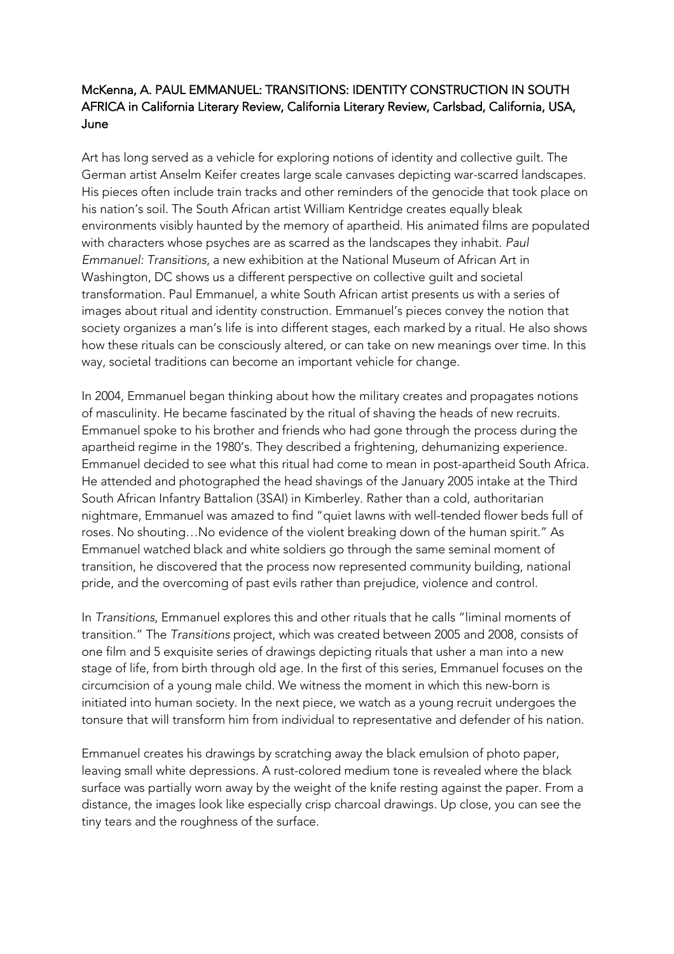## McKenna, A. PAUL EMMANUEL: TRANSITIONS: IDENTITY CONSTRUCTION IN SOUTH AFRICA in California Literary Review, California Literary Review, Carlsbad, California, USA, June

Art has long served as a vehicle for exploring notions of identity and collective guilt. The German artist Anselm Keifer creates large scale canvases depicting war-scarred landscapes. His pieces often include train tracks and other reminders of the genocide that took place on his nation's soil. The South African artist William Kentridge creates equally bleak environments visibly haunted by the memory of apartheid. His animated films are populated with characters whose psyches are as scarred as the landscapes they inhabit. *Paul Emmanuel: Transitions*, a new exhibition at the National Museum of African Art in Washington, DC shows us a different perspective on collective guilt and societal transformation. Paul Emmanuel, a white South African artist presents us with a series of images about ritual and identity construction. Emmanuel's pieces convey the notion that society organizes a man's life is into different stages, each marked by a ritual. He also shows how these rituals can be consciously altered, or can take on new meanings over time. In this way, societal traditions can become an important vehicle for change.

In 2004, Emmanuel began thinking about how the military creates and propagates notions of masculinity. He became fascinated by the ritual of shaving the heads of new recruits. Emmanuel spoke to his brother and friends who had gone through the process during the apartheid regime in the 1980's. They described a frightening, dehumanizing experience. Emmanuel decided to see what this ritual had come to mean in post-apartheid South Africa. He attended and photographed the head shavings of the January 2005 intake at the Third South African Infantry Battalion (3SAI) in Kimberley. Rather than a cold, authoritarian nightmare, Emmanuel was amazed to find "quiet lawns with well-tended flower beds full of roses. No shouting…No evidence of the violent breaking down of the human spirit." As Emmanuel watched black and white soldiers go through the same seminal moment of transition, he discovered that the process now represented community building, national pride, and the overcoming of past evils rather than prejudice, violence and control.

In *Transitions*, Emmanuel explores this and other rituals that he calls "liminal moments of transition." The *Transitions* project, which was created between 2005 and 2008, consists of one film and 5 exquisite series of drawings depicting rituals that usher a man into a new stage of life, from birth through old age. In the first of this series, Emmanuel focuses on the circumcision of a young male child. We witness the moment in which this new-born is initiated into human society. In the next piece, we watch as a young recruit undergoes the tonsure that will transform him from individual to representative and defender of his nation.

Emmanuel creates his drawings by scratching away the black emulsion of photo paper, leaving small white depressions. A rust-colored medium tone is revealed where the black surface was partially worn away by the weight of the knife resting against the paper. From a distance, the images look like especially crisp charcoal drawings. Up close, you can see the tiny tears and the roughness of the surface.